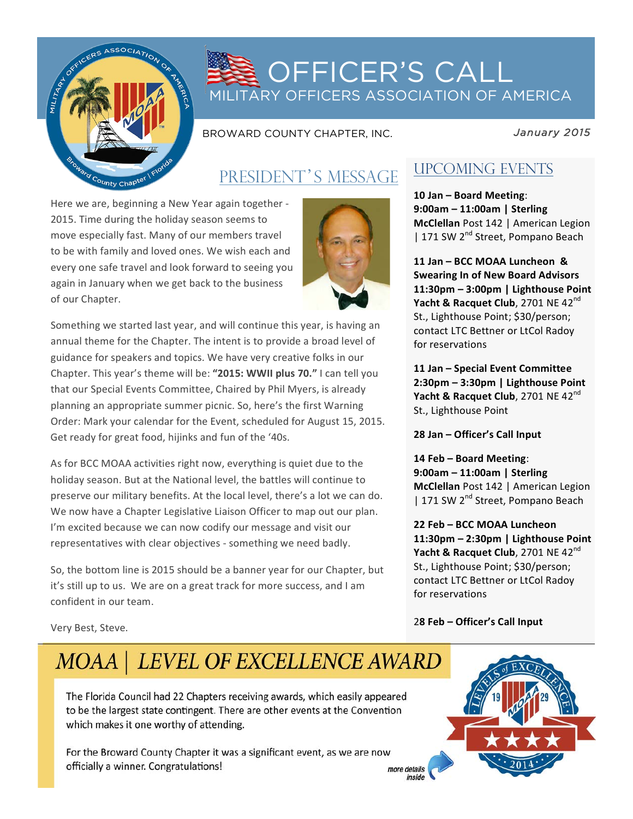

# **OFFICER'S CALL** MILITARY OFFICERS ASSOCIATION OF AMERICA

BROWARD COUNTY CHAPTER, INC.

*January 2015* 

## PRESIDENT'S MESSAGE

Here we are, beginning a New Year again together -2015. Time during the holiday season seems to move especially fast. Many of our members travel to be with family and loved ones. We wish each and every one safe travel and look forward to seeing you again in January when we get back to the business of our Chapter.



Something we started last year, and will continue this year, is having an annual theme for the Chapter. The intent is to provide a broad level of guidance for speakers and topics. We have very creative folks in our Chapter. This year's theme will be: "2015: WWII plus 70." I can tell you that our Special Events Committee, Chaired by Phil Myers, is already planning an appropriate summer picnic. So, here's the first Warning Order: Mark your calendar for the Event, scheduled for August 15, 2015. Get ready for great food, hijinks and fun of the '40s.

As for BCC MOAA activities right now, everything is quiet due to the holiday season. But at the National level, the battles will continue to preserve our military benefits. At the local level, there's a lot we can do. We now have a Chapter Legislative Liaison Officer to map out our plan. I'm excited because we can now codify our message and visit our representatives with clear objectives - something we need badly.

So, the bottom line is 2015 should be a banner year for our Chapter, but it's still up to us. We are on a great track for more success, and I am confident in our team.

## UPCOMING EVENTS

**10 Jan – Board Meeting**: **9:00am – 11:00am | Sterling McClellan** Post 142 | American Legion | 171 SW 2<sup>nd</sup> Street, Pompano Beach

**11 Jan – BCC MOAA Luncheon & Swearing In of New Board Advisors 11:30pm – 3:00pm | Lighthouse Point Yacht & Racquet Club**, 2701 NE 42<sup>nd</sup> St., Lighthouse Point; \$30/person; contact LTC Bettner or LtCol Radoy for reservations

**11 Jan – Special Event Committee 2:30pm – 3:30pm | Lighthouse Point Yacht & Racquet Club**, 2701 NE 42<sup>nd</sup> St., Lighthouse Point

**28 Jan – Officer's Call Input**

**14 Feb – Board Meeting**: **9:00am – 11:00am | Sterling McClellan** Post 142 | American Legion | 171 SW 2<sup>nd</sup> Street, Pompano Beach

**22 Feb – BCC MOAA Luncheon 11:30pm – 2:30pm | Lighthouse Point Yacht & Racquet Club**, 2701 NE 42<sup>nd</sup> St., Lighthouse Point; \$30/person; contact LTC Bettner or LtCol Radoy for reservations

2**8 Feb – Officer's Call Input**

inside

Very Best, Steve.

# MOAA | LEVEL OF EXCELLENCE AWARD

The Florida Council had 22 Chapters receiving awards, which easily appeared to be the largest state contingent. There are other events at the Convention which makes it one worthy of attending.

For the Broward County Chapter it was a significant event, as we are now officially a winner. Congratulations! more details

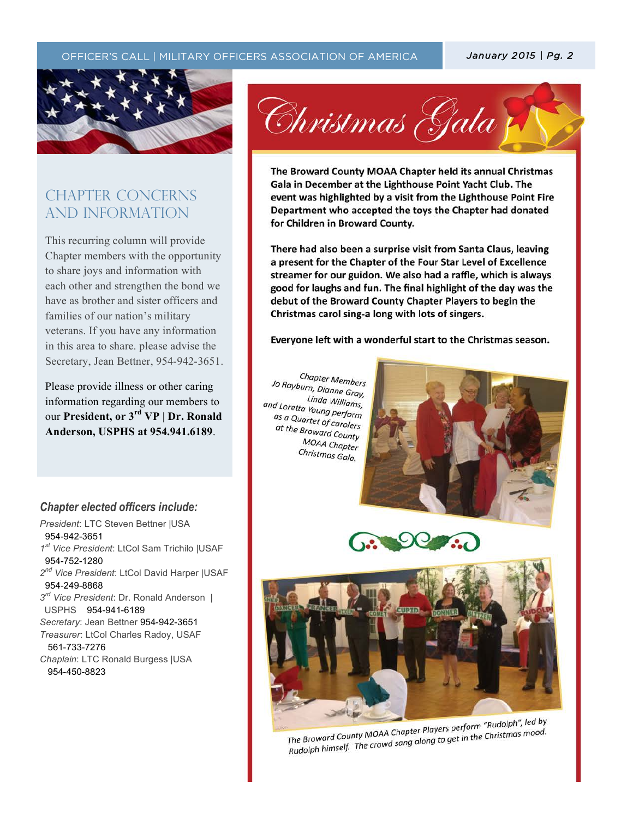#### OFFICER'S CALL | MILITARY OFFICERS ASSOCIATION OF AMERICA **| January 2015 | Pg. 2**



## CHAPTER CONCERNs AND INFORMATION

This recurring column will provide Chapter members with the opportunity to share joys and information with each other and strengthen the bond we have as brother and sister officers and families of our nation's military veterans. If you have any information in this area to share. please advise the Secretary, Jean Bettner, 954-942-3651.

Please provide illness or other caring information regarding our members to our **President, or 3rd VP | Dr. Ronald Anderson, USPHS at 954.941.6189**.

#### *Chapter elected officers include:*

*President*: LTC Steven Bettner |USA 954-942-3651 *1st Vice President*: LtCol Sam Trichilo |USAF 954-752-1280 *2nd Vice President*: LtCol David Harper |USAF 954-249-8868 *3rd Vice President*: Dr. Ronald Anderson | USPHS 954-941-6189 *Secretary*: Jean Bettner 954-942-3651 *Treasurer*: LtCol Charles Radoy, USAF 561-733-7276 *Chaplain*: LTC Ronald Burgess |USA

954-450-8823



The Broward County MOAA Chapter held its annual Christmas Gala in December at the Lighthouse Point Yacht Club. The event was highlighted by a visit from the Lighthouse Point Fire Department who accepted the toys the Chapter had donated for Children in Broward County.

There had also been a surprise visit from Santa Claus, leaving a present for the Chapter of the Four Star Level of Excellence streamer for our guidon. We also had a raffle, which is always good for laughs and fun. The final highlight of the day was the debut of the Broward County Chapter Players to begin the Christmas carol sing-a long with lots of singers.

Everyone left with a wonderful start to the Christmas season.

Chapter Members Jo Rayburn, Dianne Gray, Linda Williams, <sup>Linda</sup> Williams,<br>and Loretta Young perform<br>as a Quartet of as a Quartet of carolers<br>as a Quartet of carolers<br>at the Brown at the Broward County **MOAA Chapter** Christmas Gala.

 $\mathcal{T}_{\mathcal{A}}$  (the text)  $\mathcal{T}_{\mathcal{A}}$  (the text)  $\mathcal{T}_{\mathcal{A}}$  (the text)  $\mathcal{T}_{\mathcal{A}}$  (the text)  $\mathcal{T}_{\mathcal{A}}$ 







The Broward County MOAA Chapter Players perform "Rudolph", led by The Broward County MOAA Chapter Players perform "Rudolph", icens,<br>Rudolph himself. The crowd sang along to get in the Christmas mood.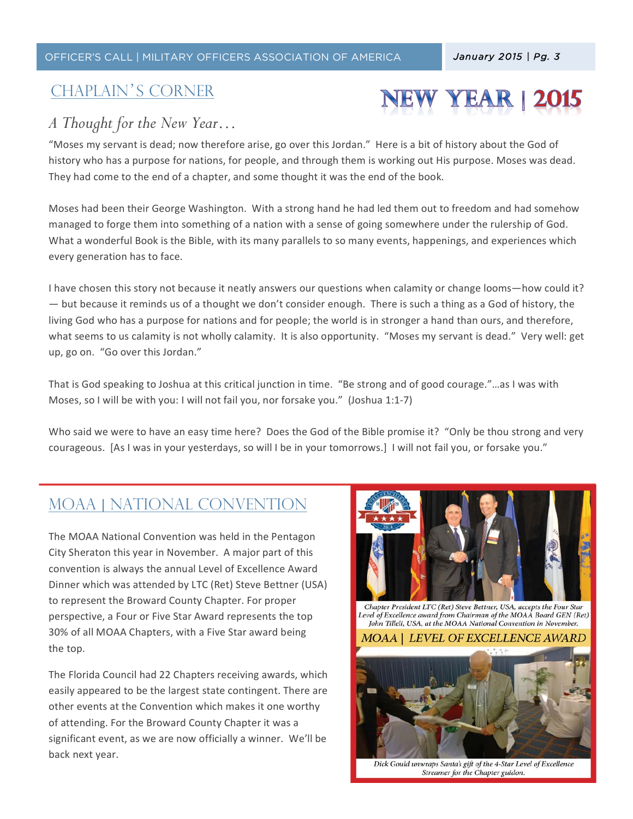#### OFFICER'S CALL | MILITARY OFFICERS ASSOCIATION OF AMERICA *January 2015 | Pg. 3*

### Chaplain's corner

## *A Thought for the New Year…*

"Moses my servant is dead; now therefore arise, go over this Jordan." Here is a bit of history about the God of history who has a purpose for nations, for people, and through them is working out His purpose. Moses was dead. They had come to the end of a chapter, and some thought it was the end of the book.

 $\mathcal{T}_{\mathcal{A}}$  (the text)  $\mathcal{T}_{\mathcal{A}}$  (the text)  $\mathcal{T}_{\mathcal{A}}$  (the text)  $\mathcal{T}_{\mathcal{A}}$ 

Moses had been their George Washington. With a strong hand he had led them out to freedom and had somehow managed to forge them into something of a nation with a sense of going somewhere under the rulership of God. What a wonderful Book is the Bible, with its many parallels to so many events, happenings, and experiences which every generation has to face.

I have chosen this story not because it neatly answers our questions when calamity or change looms—how could it? — but because it reminds us of a thought we don't consider enough. There is such a thing as a God of history, the living God who has a purpose for nations and for people; the world is in stronger a hand than ours, and therefore, what seems to us calamity is not wholly calamity. It is also opportunity. "Moses my servant is dead." Very well: get up, go on. "Go over this Jordan."

That is God speaking to Joshua at this critical junction in time. "Be strong and of good courage."...as I was with Moses, so I will be with you: I will not fail you, nor forsake you." (Joshua 1:1-7)

Who said we were to have an easy time here? Does the God of the Bible promise it? "Only be thou strong and very courageous. [As I was in your yesterdays, so will I be in your tomorrows.] I will not fail you, or forsake you."

## MOAA | NATIONAL CONVENTION

The MOAA National Convention was held in the Pentagon City Sheraton this year in November. A major part of this convention is always the annual Level of Excellence Award Dinner which was attended by LTC (Ret) Steve Bettner (USA) to represent the Broward County Chapter. For proper perspective, a Four or Five Star Award represents the top 30% of all MOAA Chapters, with a Five Star award being the top.

The Florida Council had 22 Chapters receiving awards, which easily appeared to be the largest state contingent. There are other events at the Convention which makes it one worthy of attending. For the Broward County Chapter it was a significant event, as we are now officially a winner. We'll be back next year.



**YEAR**  $12015$